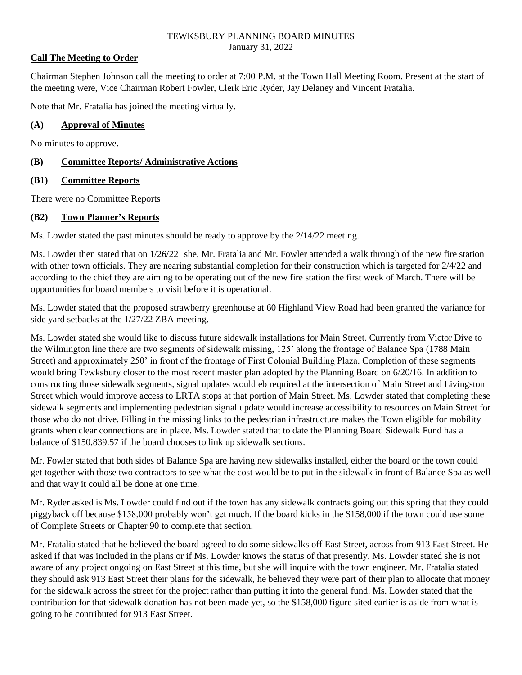# **Call The Meeting to Order**

Chairman Stephen Johnson call the meeting to order at 7:00 P.M. at the Town Hall Meeting Room. Present at the start of the meeting were, Vice Chairman Robert Fowler, Clerk Eric Ryder, Jay Delaney and Vincent Fratalia.

Note that Mr. Fratalia has joined the meeting virtually.

# **(A) Approval of Minutes**

No minutes to approve.

# **(B) Committee Reports/ Administrative Actions**

# **(B1) Committee Reports**

There were no Committee Reports

# **(B2) Town Planner's Reports**

Ms. Lowder stated the past minutes should be ready to approve by the 2/14/22 meeting.

Ms. Lowder then stated that on 1/26/22 she, Mr. Fratalia and Mr. Fowler attended a walk through of the new fire station with other town officials. They are nearing substantial completion for their construction which is targeted for  $2/4/22$  and according to the chief they are aiming to be operating out of the new fire station the first week of March. There will be opportunities for board members to visit before it is operational.

Ms. Lowder stated that the proposed strawberry greenhouse at 60 Highland View Road had been granted the variance for side yard setbacks at the 1/27/22 ZBA meeting.

Ms. Lowder stated she would like to discuss future sidewalk installations for Main Street. Currently from Victor Dive to the Wilmington line there are two segments of sidewalk missing, 125' along the frontage of Balance Spa (1788 Main Street) and approximately 250' in front of the frontage of First Colonial Building Plaza. Completion of these segments would bring Tewksbury closer to the most recent master plan adopted by the Planning Board on 6/20/16. In addition to constructing those sidewalk segments, signal updates would eb required at the intersection of Main Street and Livingston Street which would improve access to LRTA stops at that portion of Main Street. Ms. Lowder stated that completing these sidewalk segments and implementing pedestrian signal update would increase accessibility to resources on Main Street for those who do not drive. Filling in the missing links to the pedestrian infrastructure makes the Town eligible for mobility grants when clear connections are in place. Ms. Lowder stated that to date the Planning Board Sidewalk Fund has a balance of \$150,839.57 if the board chooses to link up sidewalk sections.

Mr. Fowler stated that both sides of Balance Spa are having new sidewalks installed, either the board or the town could get together with those two contractors to see what the cost would be to put in the sidewalk in front of Balance Spa as well and that way it could all be done at one time.

Mr. Ryder asked is Ms. Lowder could find out if the town has any sidewalk contracts going out this spring that they could piggyback off because \$158,000 probably won't get much. If the board kicks in the \$158,000 if the town could use some of Complete Streets or Chapter 90 to complete that section.

Mr. Fratalia stated that he believed the board agreed to do some sidewalks off East Street, across from 913 East Street. He asked if that was included in the plans or if Ms. Lowder knows the status of that presently. Ms. Lowder stated she is not aware of any project ongoing on East Street at this time, but she will inquire with the town engineer. Mr. Fratalia stated they should ask 913 East Street their plans for the sidewalk, he believed they were part of their plan to allocate that money for the sidewalk across the street for the project rather than putting it into the general fund. Ms. Lowder stated that the contribution for that sidewalk donation has not been made yet, so the \$158,000 figure sited earlier is aside from what is going to be contributed for 913 East Street.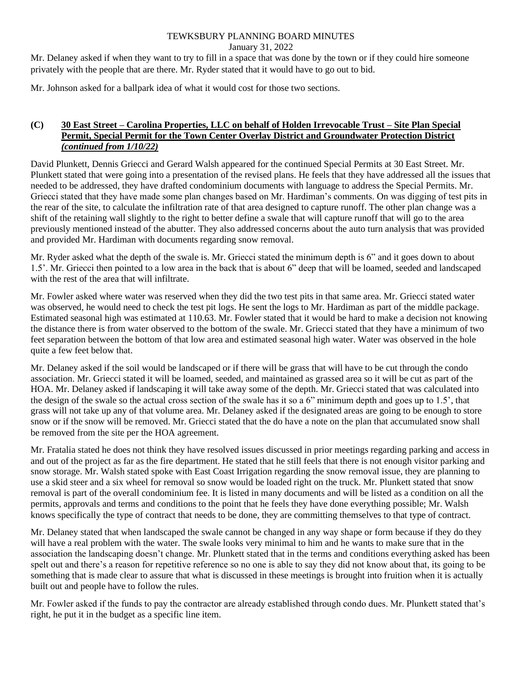# TEWKSBURY PLANNING BOARD MINUTES

January 31, 2022

Mr. Delaney asked if when they want to try to fill in a space that was done by the town or if they could hire someone privately with the people that are there. Mr. Ryder stated that it would have to go out to bid.

Mr. Johnson asked for a ballpark idea of what it would cost for those two sections.

# **(C) 30 East Street – Carolina Properties, LLC on behalf of Holden Irrevocable Trust – Site Plan Special Permit, Special Permit for the Town Center Overlay District and Groundwater Protection District** *(continued from 1/10/22)*

David Plunkett, Dennis Griecci and Gerard Walsh appeared for the continued Special Permits at 30 East Street. Mr. Plunkett stated that were going into a presentation of the revised plans. He feels that they have addressed all the issues that needed to be addressed, they have drafted condominium documents with language to address the Special Permits. Mr. Griecci stated that they have made some plan changes based on Mr. Hardiman's comments. On was digging of test pits in the rear of the site, to calculate the infiltration rate of that area designed to capture runoff. The other plan change was a shift of the retaining wall slightly to the right to better define a swale that will capture runoff that will go to the area previously mentioned instead of the abutter. They also addressed concerns about the auto turn analysis that was provided and provided Mr. Hardiman with documents regarding snow removal.

Mr. Ryder asked what the depth of the swale is. Mr. Griecci stated the minimum depth is 6" and it goes down to about 1.5'. Mr. Griecci then pointed to a low area in the back that is about 6" deep that will be loamed, seeded and landscaped with the rest of the area that will infiltrate.

Mr. Fowler asked where water was reserved when they did the two test pits in that same area. Mr. Griecci stated water was observed, he would need to check the test pit logs. He sent the logs to Mr. Hardiman as part of the middle package. Estimated seasonal high was estimated at 110.63. Mr. Fowler stated that it would be hard to make a decision not knowing the distance there is from water observed to the bottom of the swale. Mr. Griecci stated that they have a minimum of two feet separation between the bottom of that low area and estimated seasonal high water. Water was observed in the hole quite a few feet below that.

Mr. Delaney asked if the soil would be landscaped or if there will be grass that will have to be cut through the condo association. Mr. Griecci stated it will be loamed, seeded, and maintained as grassed area so it will be cut as part of the HOA. Mr. Delaney asked if landscaping it will take away some of the depth. Mr. Griecci stated that was calculated into the design of the swale so the actual cross section of the swale has it so a  $6"$  minimum depth and goes up to 1.5', that grass will not take up any of that volume area. Mr. Delaney asked if the designated areas are going to be enough to store snow or if the snow will be removed. Mr. Griecci stated that the do have a note on the plan that accumulated snow shall be removed from the site per the HOA agreement.

Mr. Fratalia stated he does not think they have resolved issues discussed in prior meetings regarding parking and access in and out of the project as far as the fire department. He stated that he still feels that there is not enough visitor parking and snow storage. Mr. Walsh stated spoke with East Coast Irrigation regarding the snow removal issue, they are planning to use a skid steer and a six wheel for removal so snow would be loaded right on the truck. Mr. Plunkett stated that snow removal is part of the overall condominium fee. It is listed in many documents and will be listed as a condition on all the permits, approvals and terms and conditions to the point that he feels they have done everything possible; Mr. Walsh knows specifically the type of contract that needs to be done, they are committing themselves to that type of contract.

Mr. Delaney stated that when landscaped the swale cannot be changed in any way shape or form because if they do they will have a real problem with the water. The swale looks very minimal to him and he wants to make sure that in the association the landscaping doesn't change. Mr. Plunkett stated that in the terms and conditions everything asked has been spelt out and there's a reason for repetitive reference so no one is able to say they did not know about that, its going to be something that is made clear to assure that what is discussed in these meetings is brought into fruition when it is actually built out and people have to follow the rules.

Mr. Fowler asked if the funds to pay the contractor are already established through condo dues. Mr. Plunkett stated that's right, he put it in the budget as a specific line item.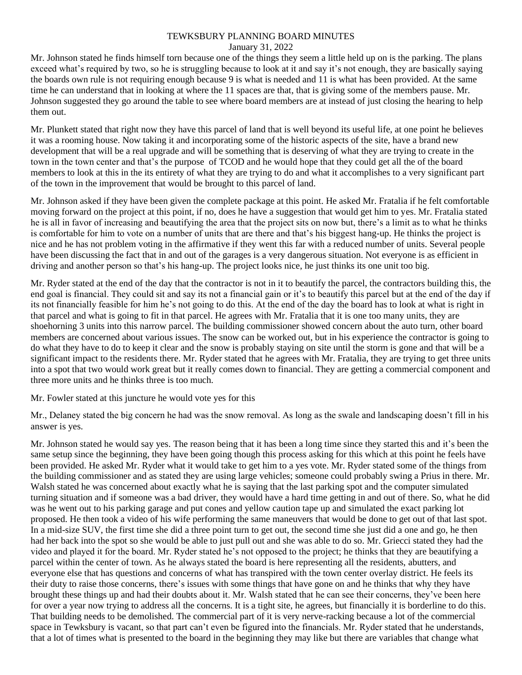Mr. Johnson stated he finds himself torn because one of the things they seem a little held up on is the parking. The plans exceed what's required by two, so he is struggling because to look at it and say it's not enough, they are basically saying the boards own rule is not requiring enough because 9 is what is needed and 11 is what has been provided. At the same time he can understand that in looking at where the 11 spaces are that, that is giving some of the members pause. Mr. Johnson suggested they go around the table to see where board members are at instead of just closing the hearing to help them out.

Mr. Plunkett stated that right now they have this parcel of land that is well beyond its useful life, at one point he believes it was a rooming house. Now taking it and incorporating some of the historic aspects of the site, have a brand new development that will be a real upgrade and will be something that is deserving of what they are trying to create in the town in the town center and that's the purpose of TCOD and he would hope that they could get all the of the board members to look at this in the its entirety of what they are trying to do and what it accomplishes to a very significant part of the town in the improvement that would be brought to this parcel of land.

Mr. Johnson asked if they have been given the complete package at this point. He asked Mr. Fratalia if he felt comfortable moving forward on the project at this point, if no, does he have a suggestion that would get him to yes. Mr. Fratalia stated he is all in favor of increasing and beautifying the area that the project sits on now but, there's a limit as to what he thinks is comfortable for him to vote on a number of units that are there and that's his biggest hang-up. He thinks the project is nice and he has not problem voting in the affirmative if they went this far with a reduced number of units. Several people have been discussing the fact that in and out of the garages is a very dangerous situation. Not everyone is as efficient in driving and another person so that's his hang-up. The project looks nice, he just thinks its one unit too big.

Mr. Ryder stated at the end of the day that the contractor is not in it to beautify the parcel, the contractors building this, the end goal is financial. They could sit and say its not a financial gain or it's to beautify this parcel but at the end of the day if its not financially feasible for him he's not going to do this. At the end of the day the board has to look at what is right in that parcel and what is going to fit in that parcel. He agrees with Mr. Fratalia that it is one too many units, they are shoehorning 3 units into this narrow parcel. The building commissioner showed concern about the auto turn, other board members are concerned about various issues. The snow can be worked out, but in his experience the contractor is going to do what they have to do to keep it clear and the snow is probably staying on site until the storm is gone and that will be a significant impact to the residents there. Mr. Ryder stated that he agrees with Mr. Fratalia, they are trying to get three units into a spot that two would work great but it really comes down to financial. They are getting a commercial component and three more units and he thinks three is too much.

Mr. Fowler stated at this juncture he would vote yes for this

Mr., Delaney stated the big concern he had was the snow removal. As long as the swale and landscaping doesn't fill in his answer is yes.

Mr. Johnson stated he would say yes. The reason being that it has been a long time since they started this and it's been the same setup since the beginning, they have been going though this process asking for this which at this point he feels have been provided. He asked Mr. Ryder what it would take to get him to a yes vote. Mr. Ryder stated some of the things from the building commissioner and as stated they are using large vehicles; someone could probably swing a Prius in there. Mr. Walsh stated he was concerned about exactly what he is saying that the last parking spot and the computer simulated turning situation and if someone was a bad driver, they would have a hard time getting in and out of there. So, what he did was he went out to his parking garage and put cones and yellow caution tape up and simulated the exact parking lot proposed. He then took a video of his wife performing the same maneuvers that would be done to get out of that last spot. In a mid-size SUV, the first time she did a three point turn to get out, the second time she just did a one and go, he then had her back into the spot so she would be able to just pull out and she was able to do so. Mr. Griecci stated they had the video and played it for the board. Mr. Ryder stated he's not opposed to the project; he thinks that they are beautifying a parcel within the center of town. As he always stated the board is here representing all the residents, abutters, and everyone else that has questions and concerns of what has transpired with the town center overlay district. He feels its their duty to raise those concerns, there's issues with some things that have gone on and he thinks that why they have brought these things up and had their doubts about it. Mr. Walsh stated that he can see their concerns, they've been here for over a year now trying to address all the concerns. It is a tight site, he agrees, but financially it is borderline to do this. That building needs to be demolished. The commercial part of it is very nerve-racking because a lot of the commercial space in Tewksbury is vacant, so that part can't even be figured into the financials. Mr. Ryder stated that he understands, that a lot of times what is presented to the board in the beginning they may like but there are variables that change what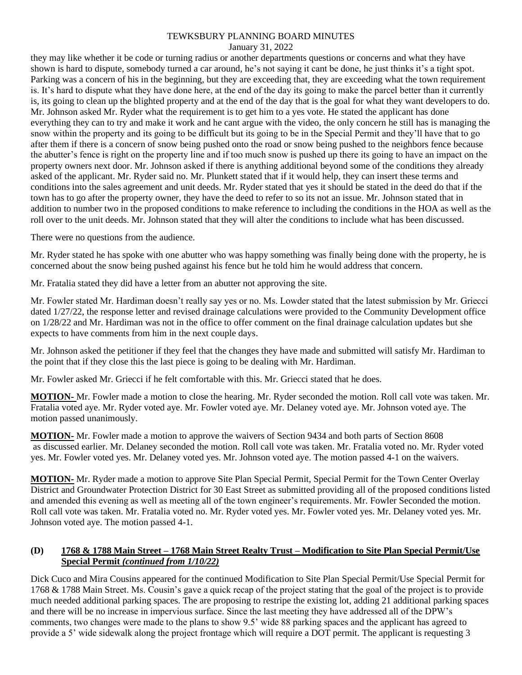they may like whether it be code or turning radius or another departments questions or concerns and what they have shown is hard to dispute, somebody turned a car around, he's not saying it cant be done, he just thinks it's a tight spot. Parking was a concern of his in the beginning, but they are exceeding that, they are exceeding what the town requirement is. It's hard to dispute what they have done here, at the end of the day its going to make the parcel better than it currently is, its going to clean up the blighted property and at the end of the day that is the goal for what they want developers to do. Mr. Johnson asked Mr. Ryder what the requirement is to get him to a yes vote. He stated the applicant has done everything they can to try and make it work and he cant argue with the video, the only concern he still has is managing the snow within the property and its going to be difficult but its going to be in the Special Permit and they'll have that to go after them if there is a concern of snow being pushed onto the road or snow being pushed to the neighbors fence because the abutter's fence is right on the property line and if too much snow is pushed up there its going to have an impact on the property owners next door. Mr. Johnson asked if there is anything additional beyond some of the conditions they already asked of the applicant. Mr. Ryder said no. Mr. Plunkett stated that if it would help, they can insert these terms and conditions into the sales agreement and unit deeds. Mr. Ryder stated that yes it should be stated in the deed do that if the town has to go after the property owner, they have the deed to refer to so its not an issue. Mr. Johnson stated that in addition to number two in the proposed conditions to make reference to including the conditions in the HOA as well as the roll over to the unit deeds. Mr. Johnson stated that they will alter the conditions to include what has been discussed.

There were no questions from the audience.

Mr. Ryder stated he has spoke with one abutter who was happy something was finally being done with the property, he is concerned about the snow being pushed against his fence but he told him he would address that concern.

Mr. Fratalia stated they did have a letter from an abutter not approving the site.

Mr. Fowler stated Mr. Hardiman doesn't really say yes or no. Ms. Lowder stated that the latest submission by Mr. Griecci dated 1/27/22, the response letter and revised drainage calculations were provided to the Community Development office on 1/28/22 and Mr. Hardiman was not in the office to offer comment on the final drainage calculation updates but she expects to have comments from him in the next couple days.

Mr. Johnson asked the petitioner if they feel that the changes they have made and submitted will satisfy Mr. Hardiman to the point that if they close this the last piece is going to be dealing with Mr. Hardiman.

Mr. Fowler asked Mr. Griecci if he felt comfortable with this. Mr. Griecci stated that he does.

**MOTION-** Mr. Fowler made a motion to close the hearing. Mr. Ryder seconded the motion. Roll call vote was taken. Mr. Fratalia voted aye. Mr. Ryder voted aye. Mr. Fowler voted aye. Mr. Delaney voted aye. Mr. Johnson voted aye. The motion passed unanimously.

**MOTION-** Mr. Fowler made a motion to approve the waivers of Section 9434 and both parts of Section 8608 as discussed earlier. Mr. Delaney seconded the motion. Roll call vote was taken. Mr. Fratalia voted no. Mr. Ryder voted yes. Mr. Fowler voted yes. Mr. Delaney voted yes. Mr. Johnson voted aye. The motion passed 4-1 on the waivers.

**MOTION-** Mr. Ryder made a motion to approve Site Plan Special Permit, Special Permit for the Town Center Overlay District and Groundwater Protection District for 30 East Street as submitted providing all of the proposed conditions listed and amended this evening as well as meeting all of the town engineer's requirements. Mr. Fowler Seconded the motion. Roll call vote was taken. Mr. Fratalia voted no. Mr. Ryder voted yes. Mr. Fowler voted yes. Mr. Delaney voted yes. Mr. Johnson voted aye. The motion passed 4-1.

# **(D) 1768 & 1788 Main Street – 1768 Main Street Realty Trust – Modification to Site Plan Special Permit/Use Special Permit** *(continued from 1/10/22)*

Dick Cuco and Mira Cousins appeared for the continued Modification to Site Plan Special Permit/Use Special Permit for 1768 & 1788 Main Street. Ms. Cousin's gave a quick recap of the project stating that the goal of the project is to provide much needed additional parking spaces. The are proposing to restripe the existing lot, adding 21 additional parking spaces and there will be no increase in impervious surface. Since the last meeting they have addressed all of the DPW's comments, two changes were made to the plans to show 9.5' wide 88 parking spaces and the applicant has agreed to provide a 5' wide sidewalk along the project frontage which will require a DOT permit. The applicant is requesting 3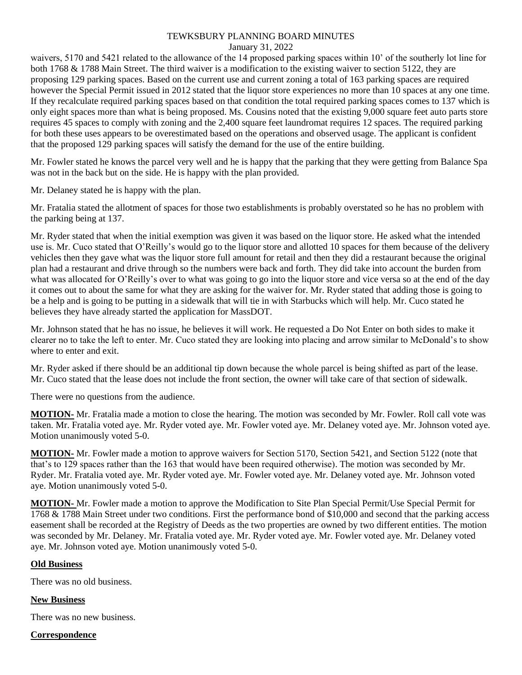waivers, 5170 and 5421 related to the allowance of the 14 proposed parking spaces within 10' of the southerly lot line for both 1768 & 1788 Main Street. The third waiver is a modification to the existing waiver to section 5122, they are proposing 129 parking spaces. Based on the current use and current zoning a total of 163 parking spaces are required however the Special Permit issued in 2012 stated that the liquor store experiences no more than 10 spaces at any one time. If they recalculate required parking spaces based on that condition the total required parking spaces comes to 137 which is only eight spaces more than what is being proposed. Ms. Cousins noted that the existing 9,000 square feet auto parts store requires 45 spaces to comply with zoning and the 2,400 square feet laundromat requires 12 spaces. The required parking for both these uses appears to be overestimated based on the operations and observed usage. The applicant is confident that the proposed 129 parking spaces will satisfy the demand for the use of the entire building.

Mr. Fowler stated he knows the parcel very well and he is happy that the parking that they were getting from Balance Spa was not in the back but on the side. He is happy with the plan provided.

Mr. Delaney stated he is happy with the plan.

Mr. Fratalia stated the allotment of spaces for those two establishments is probably overstated so he has no problem with the parking being at 137.

Mr. Ryder stated that when the initial exemption was given it was based on the liquor store. He asked what the intended use is. Mr. Cuco stated that O'Reilly's would go to the liquor store and allotted 10 spaces for them because of the delivery vehicles then they gave what was the liquor store full amount for retail and then they did a restaurant because the original plan had a restaurant and drive through so the numbers were back and forth. They did take into account the burden from what was allocated for O'Reilly's over to what was going to go into the liquor store and vice versa so at the end of the day it comes out to about the same for what they are asking for the waiver for. Mr. Ryder stated that adding those is going to be a help and is going to be putting in a sidewalk that will tie in with Starbucks which will help. Mr. Cuco stated he believes they have already started the application for MassDOT.

Mr. Johnson stated that he has no issue, he believes it will work. He requested a Do Not Enter on both sides to make it clearer no to take the left to enter. Mr. Cuco stated they are looking into placing and arrow similar to McDonald's to show where to enter and exit.

Mr. Ryder asked if there should be an additional tip down because the whole parcel is being shifted as part of the lease. Mr. Cuco stated that the lease does not include the front section, the owner will take care of that section of sidewalk.

There were no questions from the audience.

**MOTION-** Mr. Fratalia made a motion to close the hearing. The motion was seconded by Mr. Fowler. Roll call vote was taken. Mr. Fratalia voted aye. Mr. Ryder voted aye. Mr. Fowler voted aye. Mr. Delaney voted aye. Mr. Johnson voted aye. Motion unanimously voted 5-0.

**MOTION-** Mr. Fowler made a motion to approve waivers for Section 5170, Section 5421, and Section 5122 (note that that's to 129 spaces rather than the 163 that would have been required otherwise). The motion was seconded by Mr. Ryder. Mr. Fratalia voted aye. Mr. Ryder voted aye. Mr. Fowler voted aye. Mr. Delaney voted aye. Mr. Johnson voted aye. Motion unanimously voted 5-0.

**MOTION-** Mr. Fowler made a motion to approve the Modification to Site Plan Special Permit/Use Special Permit for 1768 & 1788 Main Street under two conditions. First the performance bond of \$10,000 and second that the parking access easement shall be recorded at the Registry of Deeds as the two properties are owned by two different entities. The motion was seconded by Mr. Delaney. Mr. Fratalia voted aye. Mr. Ryder voted aye. Mr. Fowler voted aye. Mr. Delaney voted aye. Mr. Johnson voted aye. Motion unanimously voted 5-0.

# **Old Business**

There was no old business.

# **New Business**

There was no new business.

# **Correspondence**